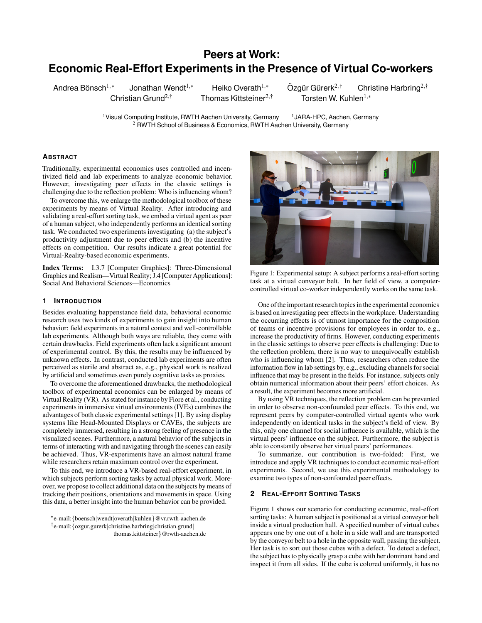# **Peers at Work: Economic Real-Effort Experiments in the Presence of Virtual Co-workers**

Andrea Bönsch $1,*$ 

Jonathan Wendt<sup>1,∗</sup> Heiko Overath<sup>1,∗</sup> Özgür Gürerk<sup>2,†</sup>

<sup>2</sup>,† Christine Harbring2,† Christian Grund<sup>2,†</sup> Thomas Kittsteiner<sup>2,†</sup> Torsten W. Kuhlen<sup>1,∗</sup>

 $1$ Visual Computing Institute, RWTH Aachen University, Germany  $1$ JARA-HPC, Aachen, Germany  $^2$  RWTH School of Business & Economics, RWTH Aachen University, Germany

# **ABSTRACT**

Traditionally, experimental economics uses controlled and incentivized field and lab experiments to analyze economic behavior. However, investigating peer effects in the classic settings is challenging due to the reflection problem: Who is influencing whom?

To overcome this, we enlarge the methodological toolbox of these experiments by means of Virtual Reality. After introducing and validating a real-effort sorting task, we embed a virtual agent as peer of a human subject, who independently performs an identical sorting task. We conducted two experiments investigating (a) the subject's productivity adjustment due to peer effects and (b) the incentive effects on competition. Our results indicate a great potential for Virtual-Reality-based economic experiments.

Index Terms: I.3.7 [Computer Graphics]: Three-Dimensional Graphics and Realism—Virtual Reality; J.4 [Computer Applications]: Social And Behavioral Sciences—Economics

### **1 INTRODUCTION**

Besides evaluating happenstance field data, behavioral economic research uses two kinds of experiments to gain insight into human behavior: field experiments in a natural context and well-controllable lab experiments. Although both ways are reliable, they come with certain drawbacks. Field experiments often lack a significant amount of experimental control. By this, the results may be influenced by unknown effects. In contrast, conducted lab experiments are often perceived as sterile and abstract as, e.g., physical work is realized by artificial and sometimes even purely cognitive tasks as proxies.

To overcome the aforementioned drawbacks, the methodological toolbox of experimental economics can be enlarged by means of Virtual Reality (VR). As stated for instance by Fiore et al., conducting experiments in immersive virtual environments (IVEs) combines the advantages of both classic experimental settings [1]. By using display systems like Head-Mounted Displays or CAVEs, the subjects are completely immersed, resulting in a strong feeling of presence in the visualized scenes. Furthermore, a natural behavior of the subjects in terms of interacting with and navigating through the scenes can easily be achieved. Thus, VR-experiments have an almost natural frame while researchers retain maximum control over the experiment.

To this end, we introduce a VR-based real-effort experiment, in which subjects perform sorting tasks by actual physical work. Moreover, we propose to collect additional data on the subjects by means of tracking their positions, orientations and movements in space. Using this data, a better insight into the human behavior can be provided.



Figure 1: Experimental setup: A subject performs a real-effort sorting task at a virtual conveyor belt. In her field of view, a computercontrolled virtual co-worker independently works on the same task.

One of the important research topics in the experimental economics is based on investigating peer effects in the workplace. Understanding the occurring effects is of utmost importance for the composition of teams or incentive provisions for employees in order to, e.g., increase the productivity of firms. However, conducting experiments in the classic settings to observe peer effects is challenging: Due to the reflection problem, there is no way to unequivocally establish who is influencing whom [2]. Thus, researchers often reduce the information flow in lab settings by, e.g., excluding channels for social influence that may be present in the fields. For instance, subjects only obtain numerical information about their peers' effort choices. As a result, the experiment becomes more artificial.

By using VR techniques, the reflection problem can be prevented in order to observe non-confounded peer effects. To this end, we represent peers by computer-controlled virtual agents who work independently on identical tasks in the subject's field of view. By this, only one channel for social influence is available, which is the virtual peers' influence on the subject. Furthermore, the subject is able to constantly observe her virtual peers' performances.

To summarize, our contribution is two-folded: First, we introduce and apply VR techniques to conduct economic real-effort experiments. Second, we use this experimental methodology to examine two types of non-confounded peer effects.

# **2 REAL-EFFORT SORTING TASKS**

Figure 1 shows our scenario for conducting economic, real-effort sorting tasks: A human subject is positioned at a virtual conveyor belt inside a virtual production hall. A specified number of virtual cubes appears one by one out of a hole in a side wall and are transported by the conveyor belt to a hole in the opposite wall, passing the subject. Her task is to sort out those cubes with a defect. To detect a defect, the subject has to physically grasp a cube with her dominant hand and inspect it from all sides. If the cube is colored uniformly, it has no

<sup>∗</sup> e-mail:{boensch|wendt|overath|kuhlen}@vr.rwth-aachen.de † e-mail:{ozgur.gurerk|christine.harbring|christian.grund| thomas.kittsteiner}@rwth-aachen.de